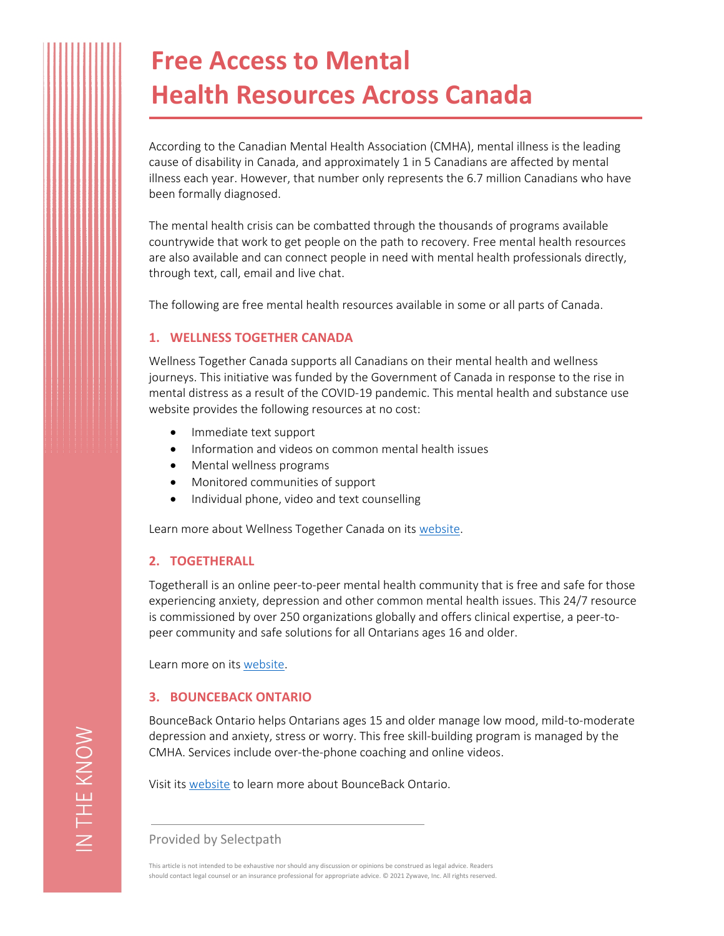# **Free Access to Mental Health Resources Across Canada**

According to the Canadian Mental Health Association (CMHA), mental illness is the leading cause of disability in Canada, and approximately 1 in 5 Canadians are affected by mental illness each year. However, that number only represents the 6.7 million Canadians who have been formally diagnosed.

The mental health crisis can be combatted through the thousands of programs available countrywide that work to get people on the path to recovery. Free mental health resources are also available and can connect people in need with mental health professionals directly, through text, call, email and live chat.

The following are free mental health resources available in some or all parts of Canada.

# **1. WELLNESS TOGETHER CANADA**

Wellness Together Canada supports all Canadians on their mental health and wellness journeys. This initiative was funded by the Government of Canada in response to the rise in mental distress as a result of the COVID-19 pandemic. This mental health and substance use website provides the following resources at no cost:

- Immediate text support
- Information and videos on common mental health issues
- Mental wellness programs
- Monitored communities of support
- Individual phone, video and text counselling

Learn more about Wellness Together Canada on its [website](https://ca.portal.gs/).

# **2. TOGETHERALL**

Togetherall is an online peer-to-peer mental health community that is free and safe for those experiencing anxiety, depression and other common mental health issues. This 24/7 resource is commissioned by over 250 organizations globally and offers clinical expertise, a peer-topeer community and safe solutions for all Ontarians ages 16 and older.

Learn more on its [website.](https://togetherall.com/en-ca/)

# **3. BOUNCEBACK ONTARIO**

BounceBack Ontario helps Ontarians ages 15 and older manage low mood, mild-to-moderate depression and anxiety, stress or worry. This free skill-building program is managed by the CMHA. Services include over-the-phone coaching and online videos.

Visit its [website](https://bouncebackontario.ca/) to learn more about BounceBack Ontario.

Provided by Selectpath

This article is not intended to be exhaustive nor should any discussion or opinions be construed as legal advice. Readers should contact legal counsel or an insurance professional for appropriate advice. © 2021 Zywave, Inc. All rights reserved.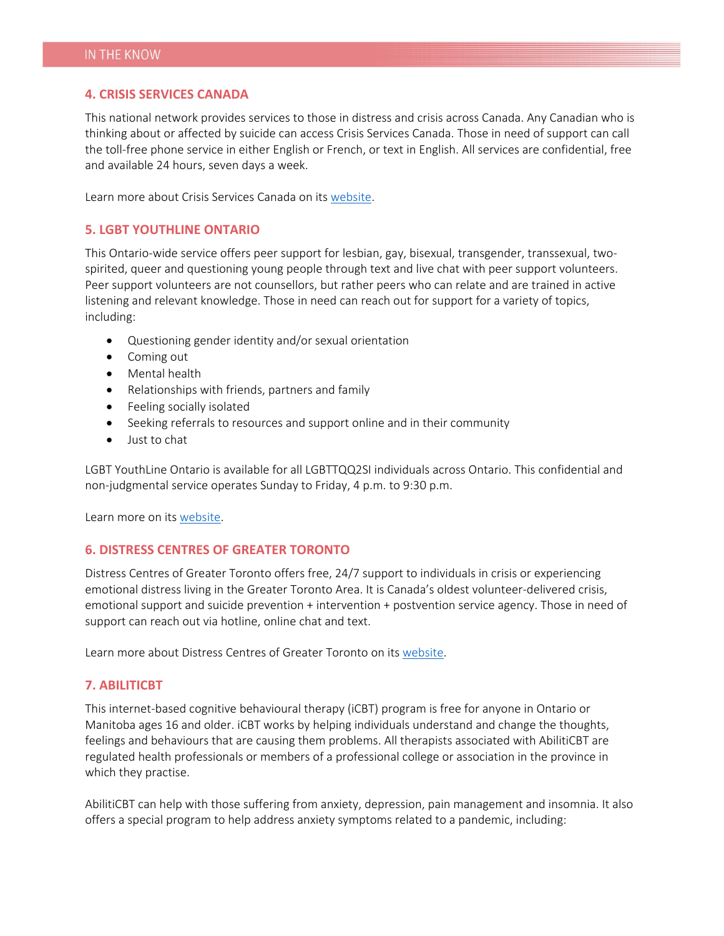### **4. CRISIS SERVICES CANADA**

This national network provides services to those in distress and crisis across Canada. Any Canadian who is thinking about or affected by suicide can access Crisis Services Canada. Those in need of support can call the toll-free phone service in either English or French, or text in English. All services are confidential, free and available 24 hours, seven days a week.

Learn more about Crisis Services Canada on its [website](https://www.crisisservicescanada.ca/en/).

## **5. LGBT YOUTHLINE ONTARIO**

This Ontario-wide service offers peer support for lesbian, gay, bisexual, transgender, transsexual, twospirited, queer and questioning young people through text and live chat with peer support volunteers. Peer support volunteers are not counsellors, but rather peers who can relate and are trained in active listening and relevant knowledge. Those in need can reach out for support for a variety of topics, including:

- Questioning gender identity and/or sexual orientation
- Coming out
- Mental health
- Relationships with friends, partners and family
- Feeling socially isolated
- Seeking referrals to resources and support online and in their community
- Just to chat

LGBT YouthLine Ontario is available for all LGBTTQQ2SI individuals across Ontario. This confidential and non-judgmental service operates Sunday to Friday, 4 p.m. to 9:30 p.m.

Learn more on its [website.](https://www.youthline.ca/)

### **6. DISTRESS CENTRES OF GREATER TORONTO**

Distress Centres of Greater Toronto offers free, 24/7 support to individuals in crisis or experiencing emotional distress living in the Greater Toronto Area. It is Canada's oldest volunteer-delivered crisis, emotional support and suicide prevention + intervention + postvention service agency. Those in need of support can reach out via hotline, online chat and text.

Learn more about Distress Centres of Greater Toronto on its [website](http://www.dcogt.com/).

### **7. ABILITICBT**

This internet-based cognitive behavioural therapy (iCBT) program is free for anyone in Ontario or Manitoba ages 16 and older. iCBT works by helping individuals understand and change the thoughts, feelings and behaviours that are causing them problems. All therapists associated with AbilitiCBT are regulated health professionals or members of a professional college or association in the province in which they practise.

AbilitiCBT can help with those suffering from anxiety, depression, pain management and insomnia. It also offers a special program to help address anxiety symptoms related to a pandemic, including: